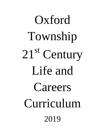## Oxford Township 21<sup>st</sup> Century Life and Careers Curriculum 2019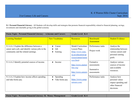| <b>Focus Topic: Personal Financial Literacy - A.Income and Careers</b> |                              | <b>Grade Level: K-4</b> |                   |                                        |
|------------------------------------------------------------------------|------------------------------|-------------------------|-------------------|----------------------------------------|
| <b>Learning Standard</b>                                               | <b>New Vocabulary</b>        | <b>Resources</b>        | Benchmark/        | <b>Student Evidence</b>                |
|                                                                        |                              |                         | <b>Assessment</b> |                                        |
| 9.1.4.A.1 Explain the difference between a                             | Career<br>$\bullet$          | Model Curriculum        | Performance tasks | Analyze the                            |
| career and a job, and identify various jobs in the                     | Job                          | <b>Lesson Plans</b>     | Project work      | relationship between                   |
| community and the related earnings.                                    | Earning<br>$\bullet$         | (http://www.state.      |                   | various careers and                    |
|                                                                        |                              | nj.us/education/ap      |                   | personal earning                       |
|                                                                        |                              | s/cccs/career/resou     |                   | goals.                                 |
| 9.1.4.A.2 Identify potential sources of income.                        | Income<br>$\bullet$          | rces.htm)               | Formative         | Analyze various                        |
|                                                                        |                              | http://www.oneton       | assessments       | sources of income                      |
|                                                                        |                              | line.org/               |                   | and available                          |
|                                                                        |                              |                         | Summative         | resources.                             |
|                                                                        |                              | http://www.careers      | assessments       |                                        |
|                                                                        |                              | .org/                   | Performance tasks |                                        |
| 9.1.4.A.3 Explain how income affects spending                          | <b>Spending</b><br>$\bullet$ | https://www.camp        |                   | Analyze how                            |
| and take-home pay.                                                     | Take home pay<br>$\bullet$   | ustours.com/            |                   | personal values                        |
|                                                                        |                              |                         |                   | impact spending and<br>other financial |
|                                                                        |                              |                         |                   | decisions.                             |
|                                                                        |                              |                         |                   |                                        |

| Focus Topic: Personal Financial Literacy- B. Money Management   Grade Level: K-4 |  |  |
|----------------------------------------------------------------------------------|--|--|
|----------------------------------------------------------------------------------|--|--|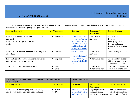| <b>Learning Standard</b>                         | <b>New Vocabulary</b>  | <b>Resources</b>     | Benchmark/        | <b>Student Evidence</b>   |
|--------------------------------------------------|------------------------|----------------------|-------------------|---------------------------|
|                                                  |                        |                      | <b>Assessment</b> |                           |
| 9.1.4.B.1 Differentiate between financial wants  | Financial<br>$\bullet$ | http://www.invest    | Performance task  | Prioritize financial      |
| and needs.                                       |                        | opedia.com/univer    | Exit ticket       | decisions                 |
| 9.1.4.B.2 Identify age-appropriate financial     |                        | sity/teaching-finan  |                   | Identify a goal and       |
| goals.                                           |                        | cial-literacy-kids/t |                   | develop a plan and        |
|                                                  |                        | eaching-financial-l  |                   | timetable for achieving   |
|                                                  |                        | iteracy-kids-needs-  |                   | 1t.                       |
| 9.1.4.B.3 Explain what a budget is and why it is | Budget<br>$\bullet$    | and-wants.asp        | Class discussion  | Design a simple budget    |
| important.                                       |                        |                      | Exit ticket       |                           |
|                                                  |                        | http://pbskids.org/i |                   |                           |
| 9.1.4.B.4 Identify common household expense      | Expense                | tsmylife/money/m     | Performance task  | Create monthly budget     |
| categories and sources of income.                |                        | anaging/article6.ht  |                   | with household expenses   |
|                                                  |                        | m <sub>l</sub>       |                   | and expected income.      |
| 9.1.4.B.5 Identify ways to earn and save.        | Earn                   |                      | Class discussion  | List a variety of ways to |
|                                                  | Save                   |                      | Performance task  | earn money and to save.   |

| Focus Topic: Personal Financial Literacy - C. Credit and Debt |                  | <b>Grade Level: K-4</b> |                      |                         |
|---------------------------------------------------------------|------------------|-------------------------|----------------------|-------------------------|
| <b>Management</b>                                             |                  |                         |                      |                         |
| <b>Learning Standard</b>                                      | New Vocabulary   | <b>Resources</b>        | Benchmark/           | <b>Student Evidence</b> |
|                                                               |                  |                         | <b>Assessment</b>    |                         |
| 9.1.4.C.1 Explain why people borrow money                     | $\bullet$ Credit | http://www.themin       | Ongoing observation  | Discuss the benefits    |
| and the relationship between credit and debt.                 | $\bullet$ Debt   | t.org/kids/credit-ca    | and questioning      | of different products   |
|                                                               |                  | rd-facts.html           | Formative assessment | and services offered    |
|                                                               |                  |                         |                      |                         |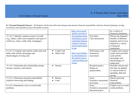|                                                   |                       | http://www.invest    |                      | by a variety of         |
|---------------------------------------------------|-----------------------|----------------------|----------------------|-------------------------|
|                                                   |                       | opedia.com/univer    |                      | financial institutions. |
| 9.1.4.C.2 Identify common sources of credit       |                       | sity/teaching-finan  | Exit ticket          | Discuss the financial   |
| (e.g., banks, credit card companies) and types of |                       | cial-literacy-tween  | Class discussions    | benefits of different   |
| credit (e.g., loans, credit cards, mortgages)     |                       | s/teaching-financia  |                      | products and services   |
|                                                   |                       | l-literacy-tweens-i  |                      | offered by a variety    |
|                                                   |                       | ncome-and-expens     |                      | of financial            |
|                                                   |                       | es.asp               |                      | institutions.           |
| 9.1.4.C.3 Compare and contrast credit cards and   | Credit Card           |                      | Performance task     | Compare and contrast    |
| debit cards and the advantages and                | Debit Card            | http://www.bankra    | Summative            | credit cards and debit  |
| disadvantages of using each.                      |                       | te.com/finance/cre   | assessment           | cards and the           |
|                                                   |                       | $dit-cards/4-ways-t$ |                      | advantages and          |
|                                                   |                       | o-prevent-bad-cred   |                      | disadvantages of        |
|                                                   |                       | it.aspx              |                      | using each.             |
| 9.1.4.C.4 Determine the relationships among       | Interest<br>$\bullet$ |                      | Research project     | Describe interest and   |
| income, expenses, and interest.                   |                       |                      | Hands-on             | fees that are applied   |
|                                                   |                       |                      | project/rubric       | to various forms of     |
|                                                   |                       |                      |                      | spending, debt and      |
|                                                   |                       |                      |                      | saving.                 |
| 9.1.4.C.5 Determine personal responsibility       | <b>Borrow</b>         |                      | Essay                | Discuss personal        |
| related to borrowing and lending.                 | Lend                  |                      | Formative assessment | financial               |
|                                                   |                       |                      | Exit ticket          | responsibility.         |
| 9.1.4.C.6 Summarize ways to avoid credit          |                       |                      | Essay                | Explain ways to avoid   |
| problems                                          |                       |                      | Formative assessment | credit problems.        |
|                                                   |                       |                      | Research project     |                         |
|                                                   |                       |                      |                      |                         |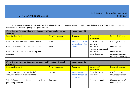| Focus Topic: Personal Financial Literacy - D. Planning, Saving and<br>Investing |                       | <b>Grade Level: K-4</b>                  |                                     |                                                             |
|---------------------------------------------------------------------------------|-----------------------|------------------------------------------|-------------------------------------|-------------------------------------------------------------|
| <b>Learning Standard</b>                                                        | <b>New Vocabulary</b> | <b>Resources</b>                         | Benchmark/<br><b>Assessment</b>     | <b>Student Evidence</b>                                     |
| 9.1.4.D.1 Determine various ways to save.                                       | Save                  | http://www.themin<br>t.org/kids/investin | Class discussion<br>Exit ticket     | List ways to save.                                          |
| 9.1.4.D.2 Explain what it means to "invest."                                    | Invest                | g.html                                   | Exit ticket<br>Formative assessment | Define invest.                                              |
| 9.1.4.D.3 Distinguish between saving and<br>investing.                          |                       |                                          | Exit ticket<br>Class discussion     | Describe the<br>difference between<br>saving and investing. |

| Focus Topic: Personal Financial Literacy - E. Becoming a Critical<br><b>Consumer</b> |                       | <b>Grade Level: K-4</b>                              |                                 |                                          |
|--------------------------------------------------------------------------------------|-----------------------|------------------------------------------------------|---------------------------------|------------------------------------------|
| <b>Learning Standard</b>                                                             | <b>New Vocabulary</b> | <b>Resources</b>                                     | Benchmark/<br><b>Assessment</b> | Student Evidence                         |
| 9.1.4.E.1 Determine factors that influence<br>consumer decisions related to money.   | Consumer              | https://www.mone<br>yinstructor.com/sp<br>ending asp | Class discussion<br>Exit ticket | List factors that<br>influence purchases |
| 9.1.4.E.2 Apply comparison shopping skills to<br>purchasing decisions                | Purchase              |                                                      | Hands on project                | Compare prices of<br>various items       |
|                                                                                      |                       |                                                      |                                 |                                          |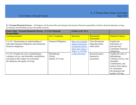| Focus Topic: Personal Financial Literacy - F. Civic Financial<br><b>Responsibility</b>                                                                                          |                                              | <b>Grade Level: K-4</b>                                                                                      |                                                     |                                                                                                                                                                                      |
|---------------------------------------------------------------------------------------------------------------------------------------------------------------------------------|----------------------------------------------|--------------------------------------------------------------------------------------------------------------|-----------------------------------------------------|--------------------------------------------------------------------------------------------------------------------------------------------------------------------------------------|
| <b>Learning Standard</b>                                                                                                                                                        | <b>New Vocabulary</b>                        | <b>Resources</b>                                                                                             | Benchmark/<br><b>Assessment</b>                     | <b>Student Evidence</b>                                                                                                                                                              |
| 9.1.4.F.1 Demonstrate an understanding of<br>individual financial obligations and community<br>financial obligations.                                                           | <b>Financial Obligation</b>                  | http://www.learnin<br>gtogive.org/resour<br>ces/lessons-units?s<br>earch api views f<br>ulltext $1 = \%22Wh$ | Class discussions<br>Ongoing teacher<br>observation | Explain the<br>importance of<br>personal and<br>community financial<br>obligations.                                                                                                  |
| 9.1.4.F.2 Explain the roles of philanthropy,<br>volunteer service, and charitable contributions,<br>and analyze their impact on community<br>development and quality of living. | Philanthropy<br>Charity<br>Quality of Living | $y+We+Give\%22$                                                                                              | Research project<br>Summative<br>assessment         | Explain the roles of<br>philanthropy,<br>volunteer service, and<br>charitable<br>contributions, and<br>analyze their impact<br>on community<br>development and<br>quality of living. |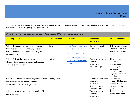| Focus Topic: Personal Financial Literacy - A. Income and Careers                                                                                                 |                       | <b>Grade Level: 5-8</b>                                             |                                                                                               |                                                                                                                                                            |
|------------------------------------------------------------------------------------------------------------------------------------------------------------------|-----------------------|---------------------------------------------------------------------|-----------------------------------------------------------------------------------------------|------------------------------------------------------------------------------------------------------------------------------------------------------------|
| <b>Learning Standard</b>                                                                                                                                         | <b>New Vocabulary</b> | <b>Resources</b>                                                    | Benchmark/                                                                                    | <b>Student Evidence</b>                                                                                                                                    |
|                                                                                                                                                                  |                       |                                                                     | <b>Assessment</b>                                                                             |                                                                                                                                                            |
| 9.1.8.A.1 Explain the meaning and purposes of<br>taxes and tax deductions and why fees for<br>various benefits (e.g., medical benefits) are<br>taken out of pay. | Taxes                 | https://apps.irs.gov/app/<br>understandingTaxes<br>www.payscale.com | Hands-on projects<br>Class discussion                                                         | Differentiate among<br>the types of taxes and<br>employee benefits.                                                                                        |
| 9.1.8.A.2 Relate how career choices, education<br>choices, skills, entrepreneurship, and economic<br>conditions affect income.                                   | Entrepreneurship      | https://kids.usa.gov/tea<br>chers/lesson-plans/jobs/<br>index.shtml | Formative assessment<br>Summative<br>assessment<br>Hands on project                           | Identify a career goal<br>and develop a plan<br>and timetable for<br>achieving it,<br>including<br>education, training<br>requirements, costs<br>and debt. |
| 9.1.8.A.3 Differentiate among ways that workers<br>can improve earning power through the<br>acquisition of new knowledge and skills.                             | Earning Power         |                                                                     | Formative assessment<br>Summative<br>assessment<br>Research project<br><b>Student Project</b> | Analyze the<br>relationship between<br>various careers and<br>personal earning<br>goals                                                                    |
| 9.1.8.A.4 Relate earning power to quality of life<br>across cultures.                                                                                            |                       |                                                                     | Formative assessment<br>Summative<br>assessment                                               | Explain earning<br>power and compare to                                                                                                                    |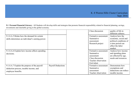|                                                                                                              |                           | Class discussion                                                                                          | quality of life in<br>different cultures.                                                                              |
|--------------------------------------------------------------------------------------------------------------|---------------------------|-----------------------------------------------------------------------------------------------------------|------------------------------------------------------------------------------------------------------------------------|
| 9.1.8.A.5 Relate how the demand for certain<br>skills determines an individual's earning power.              |                           | Formative assessment<br>Summative<br>assessment<br>Research project                                       | Analyze how the<br>economic, social and<br>political conditions of<br>a time period can<br>affect the labor<br>market. |
| 9.1.8.A.6 Explain how income affects spending<br>decisions.                                                  |                           | Formative assessment<br>Summative<br>assessment<br>Class discussion<br>Teacher observation<br>Exit ticket | Analyze how income<br>and spending plans<br>are affected by age,<br>needs and resources.                               |
| 9.1.8.A.7 Explain the purpose of the payroll<br>deduction process, taxable income, and<br>employee benefits. | <b>Payroll Deductions</b> | Formative assessment<br>Summative<br>assessment<br>Teacher observation                                    | Demonstrate how<br>exemptions and<br>deductions can reduce<br>taxable income.                                          |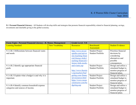| <b>Focus Topic: Personal Financial Literacy - B. Money Management</b> |                       | <b>Grade Level: 5-8</b> |                          |                         |
|-----------------------------------------------------------------------|-----------------------|-------------------------|--------------------------|-------------------------|
| <b>Learning Standard</b>                                              | <b>New Vocabulary</b> | <b>Resources</b>        | Benchmark/               | <b>Student Evidence</b> |
|                                                                       |                       |                         | Assessment               |                         |
| 9.1.4.B.1 Differentiate between financial wants                       |                       | http://www.invest       | <b>Student Project</b>   | Prioritize financial    |
| and needs.                                                            |                       | opedia.com/univer       | <b>Student Portfolio</b> | decisions by            |
|                                                                       |                       | sity/teaching-finan     |                          | considering             |
|                                                                       |                       | cial-literacy-kids/t    |                          | alternatives and        |
|                                                                       |                       | eaching-financial-l     |                          | possible                |
|                                                                       |                       | iteracy-kids-needs-     |                          | consequences.           |
| 9.1.4.B.2 Identify age-appropriate financial                          |                       | and-wants.asp           | <b>Student Project</b>   | Design and utilize a    |
| goals.                                                                |                       |                         | Student Portfolio        | simulated budget to     |
|                                                                       |                       | http://www.themin       |                          | monitor progress of     |
|                                                                       |                       | t.org/teachers/bud      |                          | financial plans.        |
| 9.1.4.B.3 Explain what a budget is and why it is                      |                       | geting-your-financ      | <b>Student Project</b>   | Design and utilize a    |
| important.                                                            |                       | ial-resources.html      | <b>Student Portfolio</b> | simulated budget to     |
|                                                                       |                       | https://www.mone        |                          | monitor progress of     |
|                                                                       |                       | vinstructor.com/bu      |                          | financial plans.        |
| 9.1.4.B.4 Identify common household expense                           |                       | dgeting asp             | <b>Student Project</b>   | Design and utilize a    |
| categories and sources of income.                                     |                       |                         | <b>Student Portfolio</b> | simulated budget to     |
|                                                                       |                       |                         |                          | monitor progress of     |
|                                                                       |                       |                         |                          | financial plans.        |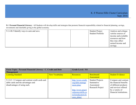| 9.1.4.B.5 Identify ways to earn and save. |  | <b>Student Project</b> | Analyze and critique |
|-------------------------------------------|--|------------------------|----------------------|
|                                           |  | Student Portfolio      | various sources of   |
|                                           |  |                        | income and available |
|                                           |  |                        | resources and how    |
|                                           |  |                        | they may affect      |
|                                           |  |                        | earned income and    |
|                                           |  |                        | savings.             |

| <b>Focus Topic: Personal Financial Literacy - C. Credit and Debt</b><br><b>Management</b>                             |                       | <b>Grade Level: 5-8</b>                                                    |                                                                        |                                                                                                 |
|-----------------------------------------------------------------------------------------------------------------------|-----------------------|----------------------------------------------------------------------------|------------------------------------------------------------------------|-------------------------------------------------------------------------------------------------|
| <b>Learning Standard</b>                                                                                              | <b>New Vocabulary</b> | <b>Resources</b>                                                           | Benchmark/<br><b>Assessment</b>                                        | <b>Student Evidence</b>                                                                         |
| 9.1.8.C.1 Compare and contrast credit cards and<br>debit cards and the advantages and<br>disadvantages of using each. |                       | http://www.credit.<br>org/debt-manage<br>ment-plan/                        | <b>Student Projects</b><br>Summative<br>Assessment<br>Research Project | Compare and contrast<br>the financial benefits<br>of different products<br>and services offered |
|                                                                                                                       |                       | http://www.practi<br>calmoneyskills.co<br>m/foreducators/le<br>sson plans/ |                                                                        | by a variety of<br>financial institutions.                                                      |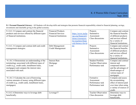| 9.1.8.C.2 Compare and contrast the financial<br>products and services offered by different types | <b>Financial Products</b><br><b>Financial Services</b> | https://www.incha    | Projects<br>Summative      | Compare and contrast<br>the financial benefits |
|--------------------------------------------------------------------------------------------------|--------------------------------------------------------|----------------------|----------------------------|------------------------------------------------|
| of financial institutions.                                                                       | <b>Financial Institutions</b>                          | rge.org/financial-1  | Assessment                 | of different products                          |
|                                                                                                  |                                                        | iteracy/resources-   | Class discussions          | and services offered                           |
|                                                                                                  |                                                        | for-teachers/finan   |                            | by a variety of                                |
|                                                                                                  |                                                        | cial-literacy-for-ki |                            | financial institutions.                        |
| 9.1.8.C.3 Compare and contrast debt and credit                                                   | Debt Management                                        | ds/                  | Projects                   | Compare and contrast                           |
| management strategies.                                                                           | <b>Credit Management</b>                               |                      | Summative                  | the financial benefits                         |
|                                                                                                  |                                                        |                      | Assessment                 | of different products                          |
|                                                                                                  |                                                        |                      | Class discussions          | and services offered                           |
|                                                                                                  |                                                        |                      |                            | by a variety of                                |
|                                                                                                  |                                                        |                      |                            | financial institutions.                        |
| 9.1.8.C.4 Demonstrate an understanding of the                                                    | <b>Interest Rate</b>                                   |                      | <b>Student Portfolio</b>   | Compare and contrast                           |
| terminology associated with different types of                                                   | Mortgage                                               |                      | <b>Teacher Observation</b> | interest and                                   |
| credit (e.g., credit cards, installment loans,                                                   | Loan                                                   |                      | Performance task           | compound interest                              |
| mortgages) and compare the interest rates                                                        |                                                        |                      |                            | and the advantages of                          |
| associated with each.                                                                            |                                                        |                      |                            | disadvantages of                               |
|                                                                                                  |                                                        |                      |                            | various types of                               |
|                                                                                                  |                                                        |                      |                            | mortgages.                                     |
| 9.1.8.C.5 Calculate the cost of borrowing                                                        |                                                        |                      | Formative                  | Compute and assess                             |
| various amounts of money using different types                                                   |                                                        |                      | Assessment                 | the accumulating                               |
| of credit (e.g., credit cards, installment loans,                                                |                                                        |                      | Performance task           | effect of interest paid                        |
| mortgages).                                                                                      |                                                        |                      | Performance task           | over time when using                           |
|                                                                                                  |                                                        |                      |                            | a variety of sources of                        |
|                                                                                                  |                                                        |                      |                            | credit.                                        |
| 9.1.8.C.6 Determine ways to leverage debt                                                        | Leverage??                                             |                      | <b>Teacher Observation</b> | Determine ways to                              |
| beneficially.                                                                                    |                                                        |                      | Class discussion           | leverage debt                                  |
|                                                                                                  |                                                        |                      |                            | beneficially.                                  |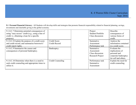| 9.1.8.C.7 Determine potential consequences of     |                   | Project           | Describe              |
|---------------------------------------------------|-------------------|-------------------|-----------------------|
| using "easy access" credit (e.g., using a line of |                   | Student Portfolio | consequences of       |
| credit vs. obtaining a loan for a specific        |                   | Class discussion  | various forms of      |
| purpose).                                         |                   |                   | credit.               |
| 9.1.8.C.8 Explain the purpose of a credit score   | Credit Score      | Summative         | Analyze the           |
| and credit record, and summarize borrower's'      | Credit Record     | Assessment        | information contained |
| credit report rights.                             |                   | Performance task  | in a credit score.    |
| 9.1.8.C.9 Summarize the causes and                | Bankruptcy        | Summative         | Evaluate the          |
| consequences of personal bankruptcy.              |                   | Assessment        | implications of       |
|                                                   |                   | Class discussion  | personal and          |
|                                                   |                   | Research Project  | corporate bankruptcy  |
|                                                   |                   |                   | for self and others.  |
| 9.1.8.C.10 Determine when there is a need to      | Credit Counseling | Performance task  | Explain the need for  |
| seek credit counseling and appropriate times to   |                   | Summative         | credit counseling.    |
| utilize it.                                       |                   | Assessment        |                       |
|                                                   |                   |                   |                       |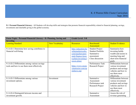| Focus Topic: Personal Financial Literacy - D. Planning, Saving and<br><b>Investing</b>       |                       | <b>Grade Level: 5-8</b>                                                                                                   |                                                                                                   |                                                                                                                             |
|----------------------------------------------------------------------------------------------|-----------------------|---------------------------------------------------------------------------------------------------------------------------|---------------------------------------------------------------------------------------------------|-----------------------------------------------------------------------------------------------------------------------------|
| <b>Learning Standard</b>                                                                     | <b>New Vocabulary</b> | <b>Resources</b>                                                                                                          | Benchmark/<br>Assessment                                                                          | <b>Student Evidence</b>                                                                                                     |
| 9.1.8.D.1 Determine how saving contributes to<br>financial well-being.                       |                       | http://education.ho<br>wthemarketworks.<br>com/teachers/pers<br>onal-finance-lesso<br>n-plans/investing-l<br>esson-plans/ | <b>Student Project</b><br><b>Student Portfolio</b><br>Summative<br>assessment<br>Class discussion | Summarize how<br>investing builds<br>wealth and assists in<br>meeting long and<br>short term financial<br>goals.            |
| 9.1.8.D.2 Differentiate among various savings<br>tools and how to use them most effectively. |                       | https://www.mone<br>yinstructor.com/sp<br>endsave.asp                                                                     | Performance Task<br>Research Project                                                              | Differentiate between<br>various investment<br>products and savings<br>vehicles and how to<br>use them most<br>effectively. |
| 9.1.8.D.3 Differentiate among various<br>investment options.                                 | Investment            |                                                                                                                           | Summative<br>Assessment<br>Performance task<br>Research Project                                   | Differentiate between<br>various investment<br>products and savings<br>vehicles and how to<br>use them most<br>effectively. |
| 9.1.8.D.4 Distinguish between income and<br>investment growth.                               |                       |                                                                                                                           | Summative<br>Assessment                                                                           | Assess the role of<br>revenue generating                                                                                    |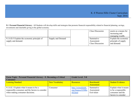|                                                                   |                   | <b>Class Discussion</b>                            | assets as a means for<br>increasing and<br>managing wealth. |
|-------------------------------------------------------------------|-------------------|----------------------------------------------------|-------------------------------------------------------------|
| 9.1.8.D.5 Explain the economic principle of<br>supply and demand. | Supply and Demand | Summative<br>Assessment<br><b>Class Discussion</b> | Explain the economic<br>principle of supply<br>and demand.  |

| Focus Topic: Personal Financial Literacy - E. Becoming a Critical |                | <b>Grade Level: 5-8</b> |                   |                         |
|-------------------------------------------------------------------|----------------|-------------------------|-------------------|-------------------------|
| <b>Consumer</b>                                                   |                |                         |                   |                         |
| <b>Learning Standard</b>                                          | New Vocabulary | <b>Resources</b>        | Benchmark/        | <b>Student Evidence</b> |
|                                                                   |                |                         | <b>Assessment</b> |                         |
| 9.1.8.E.1 Explain what it means to be a                           | Consumer       | http://wimedialab.      | Summative         | Explain what it means   |
| responsible consumer and the factors to consider                  |                | org/finance/E58Bo       | Assessment        | to be a responsible     |
| when making consumer decisions.                                   |                | rth.html                | Exit ticket       | consumer and the        |
|                                                                   |                |                         |                   | factors to consider     |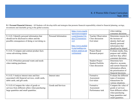|                                                   |                      | https://www.teachi<br>ngresourcessuppor |                            | when making<br>consumer decisions. |
|---------------------------------------------------|----------------------|-----------------------------------------|----------------------------|------------------------------------|
| 9.1.8.E.2 Identify personal information that      | Personal Information | t.com/lessons/3/to                      | <b>Teacher Observation</b> | Determine reasons for              |
| should not be disclosed to others and the         |                      | pics/22/resources/                      | Class discussion           | the increase of                    |
| possible consequences of doing or not doing so.   |                      | 115                                     | Exit ticket                | identity theft and                 |
|                                                   |                      |                                         |                            | identify personal                  |
|                                                   |                      | http://www.medial                       |                            | information that                   |
|                                                   |                      | it.org/reading-roo                      |                            | should not be shared               |
| 9.1.8.E.3 Compare and contrast product facts      |                      | m/how-analyze-ad                        | Project Based              | Evaluate media, bias,              |
| versus advertising claims.                        |                      | vertisement                             | Research project           | purpose and validity               |
|                                                   |                      |                                         |                            | and how they affect                |
|                                                   |                      |                                         |                            | consumer decisions.                |
| 9.1.8.E.4 Prioritize personal wants and needs     |                      |                                         | <b>Student Project</b>     | Determine how                      |
| when making purchases.                            |                      |                                         | <b>Student Portfolio</b>   | objective, accurate,               |
|                                                   |                      |                                         | Class discussion           | and current financial              |
|                                                   |                      |                                         |                            | information affects                |
|                                                   |                      |                                         |                            | the prioritization of              |
|                                                   |                      |                                         |                            | financial decisions.               |
| 9.1.8.E.5 Analyze interest rates and fees         | Interest rates       |                                         | Formative                  | Evaluate the different             |
| associated with financial services, credit cards, |                      |                                         | Assessment                 | types of monetary                  |
| debit cards, and gift cards.                      |                      |                                         | Exit ticket                | transactions for                   |
|                                                   |                      |                                         |                            | various situations.                |
| 9.1.8.E.6 Compare the value of goods or           | Goods and Services   |                                         | Formative                  | Compare the value of               |
| services from different sellers when purchasing   |                      |                                         | Assessment                 | goods or services                  |
| large quantities and small quantities.            |                      |                                         | Performance task           | from different sellers             |
|                                                   |                      |                                         |                            | when purchasing                    |
|                                                   |                      |                                         |                            | large quantities and               |
|                                                   |                      |                                         |                            | small quantities.                  |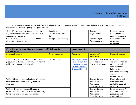| 9.1.8.E.7 Evaluate how fraudulent activities   | Fraudulent                 | Student                | Relate consumer    |
|------------------------------------------------|----------------------------|------------------------|--------------------|
| impact consumers, and justify the creation of  | <b>Consumer Protection</b> | Project/Research       | fraud to laws that |
| consumer protection laws.                      | ∟aw                        |                        | protect consumers. |
| 9.1.8.E.8 Recognize the techniques and effects | Deceptive Advertising      | <b>Student Project</b> | Identify deceptive |
| of deceptive advertising.                      |                            | Performance task       | advertising        |
|                                                |                            |                        | techniques.        |

| Focus Topic: Personal Financial Literacy - F. Civic Financial<br><b>Responsibility</b>                                               |                       | <b>Grade Level: 5-8</b>                                                                                   |                                                                        |                                                                                                                                                              |
|--------------------------------------------------------------------------------------------------------------------------------------|-----------------------|-----------------------------------------------------------------------------------------------------------|------------------------------------------------------------------------|--------------------------------------------------------------------------------------------------------------------------------------------------------------|
| <b>Learning Standard</b>                                                                                                             | <b>New Vocabulary</b> | <b>Resources</b>                                                                                          | Benchmark/<br><b>Assessment</b>                                        | <b>Student Evidence</b>                                                                                                                                      |
| 9.1.8.F.1 Explain how the economic system of<br>production and consumption may be a means to<br>achieve significant societal goals.  | Consumption           | https://njaes.rutger<br>s.edu/money/pdfs/<br>DoE-Lesson-Plan-<br>6-Civic-Financial-<br>Responsibility.pdf | Formative assessment<br>Class discussion<br>Teacher observation        | Relate the country's<br>economic system of<br>production and<br>consumption to<br>building personal<br>wealth and achieving<br>societal<br>responsibilities. |
| 9.1.8.F.2 Examine the implications of legal and<br>ethical behaviors when making financial<br>decisions.                             |                       |                                                                                                           | <b>Student Research</b><br>Summative<br>Assessment<br>Class discussion | Discuss legal and<br>ethical behaviors<br>related to financial<br>decisions.                                                                                 |
| 9.1.8.F.3 Relate the impact of business,<br>government, and consumer fiscal responsibility<br>to the economy and to personal finance |                       |                                                                                                           | <b>Student Research</b><br>Summative<br>Assessment<br>Class discussion | Relate the country's<br>economic system of<br>production and<br>consumption to                                                                               |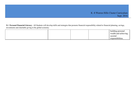|  |  | building personal    |
|--|--|----------------------|
|  |  | wealth and achieving |
|  |  | societal             |
|  |  | responsibilities.    |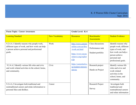| <b>Focus Topic: Career Awareness</b>                                                                                                                  |                       | Grade Level: K-4                                                                                               |                                                            |                                                                                                                                                      |
|-------------------------------------------------------------------------------------------------------------------------------------------------------|-----------------------|----------------------------------------------------------------------------------------------------------------|------------------------------------------------------------|------------------------------------------------------------------------------------------------------------------------------------------------------|
| <b>Learning Standard</b>                                                                                                                              | <b>New Vocabulary</b> | <b>Resources</b>                                                                                               | Benchmarks/<br><b>Assessments</b>                          | <b>Student Evidence</b>                                                                                                                              |
| 9.2.4.A.1 Identify reasons why people work,<br>different types of work, and how work can help<br>a person achieve personal and professional<br>goals. | Work                  | http://www.careers<br>online.com.au/disc<br>/work.sat.html<br>https://www.myne<br>xtmove.org/explor<br>$e$ /ip | Class discussions<br>Performance task<br>Student portfolio | Identify reasons why<br>people work, different<br>types of work, and<br>how work can help a<br>person achieve<br>personal and<br>professional goals. |
| 9.2.4.A.2 Identify various life roles and civic<br>and work-related activities in the school, home,<br>and community.                                 | Civic                 | https://careertech.o<br>rg/student-interest-<br>survey                                                         | Research project<br>Hands on Project                       | Identify various life<br>roles and civic and<br>work-related<br>activities in the<br>school, home, and<br>community.                                 |
| 9.2.4.A.3 Investigate both traditional and<br>nontraditional careers and relate information to<br>personal likes and dislikes.                        | Career                |                                                                                                                | Research Project<br>Survey                                 | Investigate both<br>traditional and<br>nontraditional careers<br>and relate information                                                              |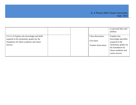|                                            |  |                     | to personal likes and |
|--------------------------------------------|--|---------------------|-----------------------|
|                                            |  |                     | dislikes.             |
|                                            |  |                     |                       |
| 9.2.4.A.4 Explain why knowledge and skills |  | Class discussions   | Explain why           |
| acquired in the elementary grades lay the  |  | Exit ticket         | knowledge and skills  |
| foundation for future academic and career  |  |                     | acquired in the       |
| success.                                   |  | Teacher observation | elementary grades lay |
|                                            |  |                     | the foundation for    |
|                                            |  |                     | future academic and   |
|                                            |  |                     | career success.       |
|                                            |  |                     |                       |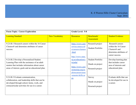| <b>Focus Topic: Career Exploration</b>                                                                                                                                                          | Grade Level: 5-8      |                                                                                                                 |                                                                  |                                                                                                                     |  |
|-------------------------------------------------------------------------------------------------------------------------------------------------------------------------------------------------|-----------------------|-----------------------------------------------------------------------------------------------------------------|------------------------------------------------------------------|---------------------------------------------------------------------------------------------------------------------|--|
| <b>Learning Standard</b>                                                                                                                                                                        | <b>New Vocabulary</b> | <b>Resources</b>                                                                                                | Benchmark/<br>Assessment                                         | <b>Student Evidence</b>                                                                                             |  |
| 9.2.8.B.1 Research careers within the 16 Career<br>Clusters <sup>®</sup> and determine attributes of career<br>success.                                                                         |                       | https://www.care<br>erwise.mnscu.ed<br>u/careers/clusters<br>.html<br>http://www.state.                         | Research project<br><b>Student Portfolio</b>                     | Research careers<br>within the 16 Career<br>Clusters <sup>®</sup> and<br>determine attributes of<br>career success. |  |
| 9.2.8.B.2 Develop a Personalized Student<br>Learning Plan with the assistance of an adult<br>mentor that includes information about career<br>areas of interest, goals and an educational plan. |                       | ni.us/education/c<br>te/pslp/<br>https://www.care<br>eronestop.org/ex<br>plorecareers/asse<br>ssments/skills.as | <b>Student Portfolio</b><br>Hands on project<br>Research project | Develop learning plan<br>that includes career<br>area of interests and<br>educational plan.                         |  |
| 9.2.8.B.3 Evaluate communication,<br>collaboration, and leadership skills that can be<br>developed through school, home, work, and<br>extracurricular activities for use in a career.           |                       | $\mathbf{p}$                                                                                                    | Survey<br>Hands on project<br>Reserach project                   | Evaluate skills that can<br>be developed for use in<br>a career.                                                    |  |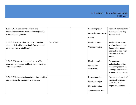| 9.2.8.B.4 Evaluate how traditional and<br>nontraditional careers have evolved regionally,<br>nationally, and globally.             |              | Research project<br>Formative assessment<br>Rubric                              | Research nontraditional<br>careers and how they<br>have evolved.                                                                  |
|------------------------------------------------------------------------------------------------------------------------------------|--------------|---------------------------------------------------------------------------------|-----------------------------------------------------------------------------------------------------------------------------------|
| 9.2.8.B.5 Analyze labor market trends using<br>state and federal labor market information and<br>other resources available online. | Labor Market | Hands on project<br>Class discussion                                            | Analyze labor market<br>trends using state and<br>federal labor market<br>information and other<br>resources available<br>online. |
| 9.2.8.B.6 Demonstrate understanding of the<br>necessary preparation and legal requirements to<br>enter the workforce.              |              | Hands on project<br>Summative<br>assessment                                     | Demonstrate<br>understanding of the<br>necessary preparation<br>and legal requirements<br>to enter the workforce.                 |
| 9.2.8.B.7 Evaluate the impact of online activities<br>and social media on employer decisions.                                      |              | Research project<br>Hands on project<br>Class discussion<br>Teacher observation | Evaluate the impact of<br>online activities and<br>social media on<br>employer decisions.                                         |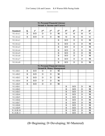| 9.1 Personal Financial Literacy<br><b>Strand A: Income and Careers</b> |          |                 |                                   |                 |                 |                 |                 |                 |                 |
|------------------------------------------------------------------------|----------|-----------------|-----------------------------------|-----------------|-----------------|-----------------|-----------------|-----------------|-----------------|
|                                                                        |          |                 |                                   |                 |                 |                 |                 |                 |                 |
| <b>Standard</b>                                                        | K        | 1 <sup>st</sup> | 2 <sup>nd</sup>                   | 3 <sup>rd</sup> | 4 <sup>th</sup> | 5 <sup>th</sup> | 6 <sup>th</sup> | 7 <sup>th</sup> | 8 <sup>th</sup> |
| 9.1.4.A.1                                                              | B        | B/D             | D                                 | D               | M               | M               | M               | M               | M               |
| 9.1.4.A.2                                                              | B        | B/D             | D                                 | D               | M               | M               | M               | M               | M               |
| 9.1.8.A.1                                                              |          |                 |                                   |                 | B               | B/D             | D               | D               | $\mathbf{M}$    |
| 9.1.8.A.2                                                              |          |                 |                                   |                 | $\bf{B}$        | B/D             | D               | D               | $\mathbf{M}$    |
| 9.1.8.A.3                                                              |          |                 |                                   |                 | $\bf{B}$        | B/D             | D               | D               | $\bf{M}$        |
| 9.1.8.A.4                                                              |          |                 |                                   |                 | B               | B/D             | D               | D               | M               |
| 9.1.8.A.5                                                              |          |                 |                                   |                 | $\bf{B}$        | B/D             | D               | D               | $\mathbf{M}$    |
| 9.1.8.A.6                                                              |          |                 |                                   |                 | $\bf{B}$        | B/D             | D               | D               | $\mathbf{M}$    |
| 9.1.8.A.7                                                              |          |                 |                                   |                 | B               | B/D             | D               | D               | M               |
| 9.1.8.A.8                                                              |          |                 |                                   |                 | $\bf{B}$        | B/D             | D               | D               | $\bf{M}$        |
|                                                                        |          |                 | 9.1 Personal Financial Literacy   |                 |                 |                 |                 |                 |                 |
|                                                                        |          |                 | <b>Strand B: Money Management</b> |                 |                 |                 |                 |                 |                 |
| 9.1.4.B.1                                                              | B        | B/D             | D                                 | D               | M               |                 |                 |                 |                 |
| 9.1.4.B.2                                                              | B        | B/D             | D                                 | D               | $\mathbf{M}$    |                 |                 |                 |                 |
| 9.1.4.B.3                                                              | B        | B/D             | D                                 | D               | M               |                 |                 |                 |                 |
| 9.1.4.B.4                                                              | $\bf{B}$ | B/D             | D                                 | D               | M               |                 |                 |                 |                 |
| 9.1.4.B.5                                                              | B        | B/D             | D                                 | D               | $\mathbf{M}$    |                 |                 |                 |                 |
| 9.1.8.B.1                                                              |          |                 |                                   |                 |                 | B               | B/D             | D               | M               |
| 9.1.8.B.2                                                              |          |                 |                                   |                 |                 | $\bf{B}$        | B/D             | D               | $\mathbf{M}$    |
| 9.1.8.B.3                                                              |          |                 |                                   |                 |                 | $\bf{B}$        | B/D             | D               | $\mathbf{M}$    |
| 9.1.8.B.4                                                              |          |                 |                                   |                 |                 | $\bf{B}$        | B/D             | D               | M               |
| 9.1.8.B.5                                                              |          |                 |                                   |                 |                 | $\, {\bf B}$    | B/D             | $\mathbf D$     | M               |
| 9.1.8.B.6                                                              |          |                 |                                   |                 |                 | B               | B/D             | D               | M               |
| 9.1.8.B.7                                                              |          |                 |                                   |                 |                 | $\bf{B}$        | B/D             | D               | $\mathbf{M}$    |
| 9.1.8.B.8                                                              |          |                 |                                   |                 |                 | B               | B/D             | D               | M               |
| 9.1.8.B.9                                                              |          |                 |                                   |                 |                 | B               | B/D             | D               | M               |
| 9.1.8.B.10                                                             |          |                 |                                   |                 |                 | B               | B/D             | D               | M               |
| 9.1.8.B.11                                                             |          |                 |                                   |                 |                 | B               | B/D             | D               | M               |
|                                                                        |          |                 |                                   |                 |                 |                 |                 |                 |                 |

(B=Beginning; D=Developing; M=Mastered)